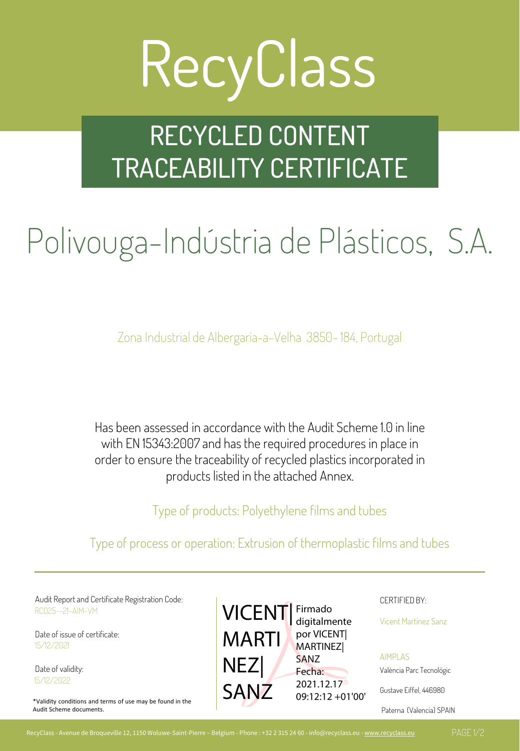# RecyClass

### RECYCLED CONTENT TRACEABILITY CERTIFICATE

### Polivouga-Indústria de Plásticos, S.A.

Zona Industrial de Albergaria-a-Velha 3850-184, Portugal

Has been assessed in accordance with the Audit Scheme 1.0 in line with EN 15343:2007 and has the required procedures in place in order to ensure the traceability of recycled plastics incorporated in products listed in the attached Annex.

Type of products: Polyethylene films and tubes

Type of process or operation: Extrusion of thermoplastic films and tubes

Audit Report and Certificate Registration Code: Notificate Registration Code: CERTIFIED BY: RC025--21-AIM-VM

Date of issue of certificate: 15/12/2021

Date of validity: 15/12/2022

\*Validity conditions and terms of use may be found in the Audit Scheme documents.



Vicent Martinez Sanz

AIMPLAS València Parc Tecnològic

Gustave Eiffel, 446980

Paterna (Valencia) SPAIN